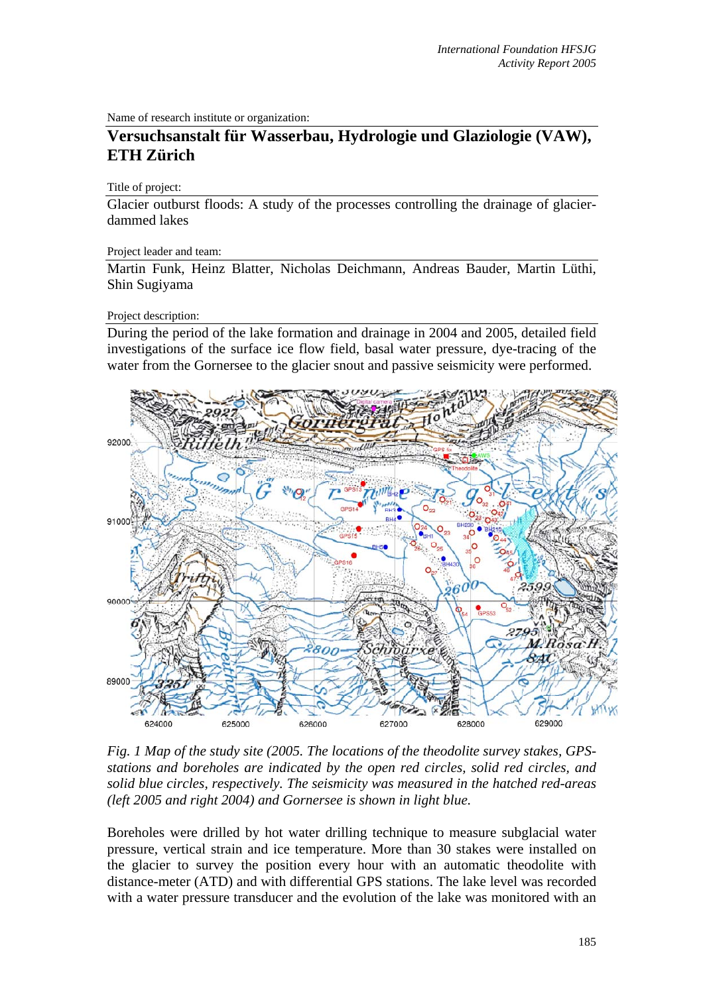Name of research institute or organization:

# **Versuchsanstalt für Wasserbau, Hydrologie und Glaziologie (VAW), ETH Zürich**

### Title of project:

Glacier outburst floods: A study of the processes controlling the drainage of glacierdammed lakes

#### Project leader and team:

Martin Funk, Heinz Blatter, Nicholas Deichmann, Andreas Bauder, Martin Lüthi, Shin Sugiyama

### Project description:

During the period of the lake formation and drainage in 2004 and 2005, detailed field investigations of the surface ice flow field, basal water pressure, dye-tracing of the water from the Gornersee to the glacier snout and passive seismicity were performed.



*Fig. 1 Map of the study site (2005. The locations of the theodolite survey stakes, GPSstations and boreholes are indicated by the open red circles, solid red circles, and solid blue circles, respectively. The seismicity was measured in the hatched red-areas (left 2005 and right 2004) and Gornersee is shown in light blue.* 

Boreholes were drilled by hot water drilling technique to measure subglacial water pressure, vertical strain and ice temperature. More than 30 stakes were installed on the glacier to survey the position every hour with an automatic theodolite with distance-meter (ATD) and with differential GPS stations. The lake level was recorded with a water pressure transducer and the evolution of the lake was monitored with an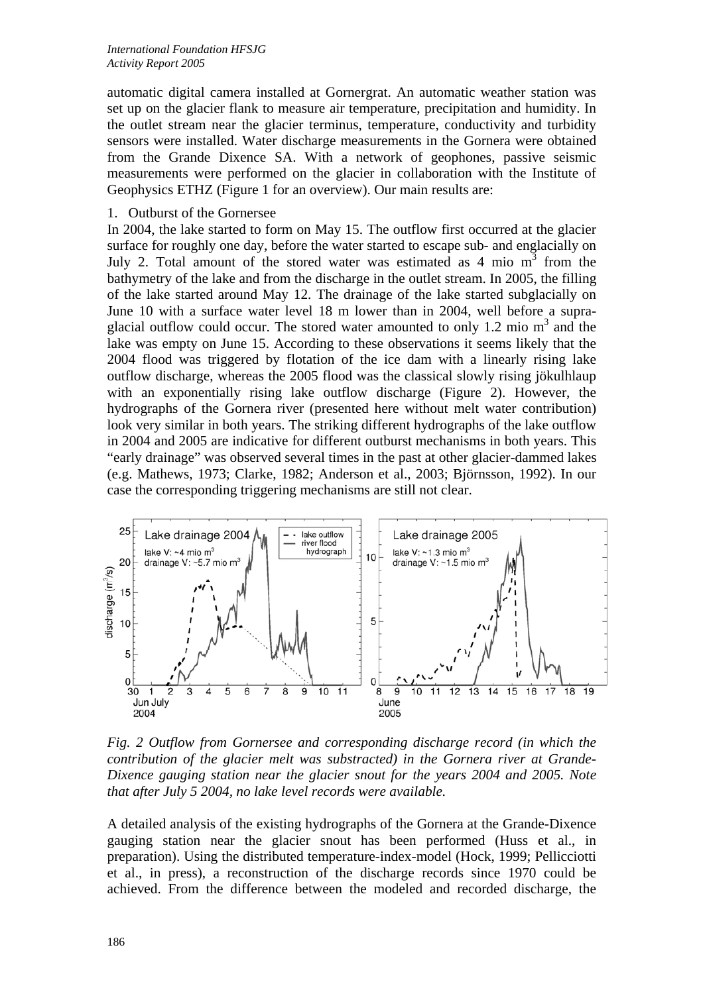automatic digital camera installed at Gornergrat. An automatic weather station was set up on the glacier flank to measure air temperature, precipitation and humidity. In the outlet stream near the glacier terminus, temperature, conductivity and turbidity sensors were installed. Water discharge measurements in the Gornera were obtained from the Grande Dixence SA. With a network of geophones, passive seismic measurements were performed on the glacier in collaboration with the Institute of Geophysics ETHZ (Figure 1 for an overview). Our main results are:

## 1. Outburst of the Gornersee

In 2004, the lake started to form on May 15. The outflow first occurred at the glacier surface for roughly one day, before the water started to escape sub- and englacially on July 2. Total amount of the stored water was estimated as  $4 \text{ mio } m^3$  from the bathymetry of the lake and from the discharge in the outlet stream. In 2005, the filling of the lake started around May 12. The drainage of the lake started subglacially on June 10 with a surface water level 18 m lower than in 2004, well before a supraglacial outflow could occur. The stored water amounted to only 1.2 mio  $m<sup>3</sup>$  and the lake was empty on June 15. According to these observations it seems likely that the 2004 flood was triggered by flotation of the ice dam with a linearly rising lake outflow discharge, whereas the 2005 flood was the classical slowly rising jökulhlaup with an exponentially rising lake outflow discharge (Figure 2). However, the hydrographs of the Gornera river (presented here without melt water contribution) look very similar in both years. The striking different hydrographs of the lake outflow in 2004 and 2005 are indicative for different outburst mechanisms in both years. This "early drainage" was observed several times in the past at other glacier-dammed lakes (e.g. Mathews, 1973; Clarke, 1982; Anderson et al., 2003; Björnsson, 1992). In our case the corresponding triggering mechanisms are still not clear.



*Fig. 2 Outflow from Gornersee and corresponding discharge record (in which the contribution of the glacier melt was substracted) in the Gornera river at Grande-Dixence gauging station near the glacier snout for the years 2004 and 2005. Note that after July 5 2004, no lake level records were available.* 

A detailed analysis of the existing hydrographs of the Gornera at the Grande-Dixence gauging station near the glacier snout has been performed (Huss et al., in preparation). Using the distributed temperature-index-model (Hock, 1999; Pellicciotti et al., in press), a reconstruction of the discharge records since 1970 could be achieved. From the difference between the modeled and recorded discharge, the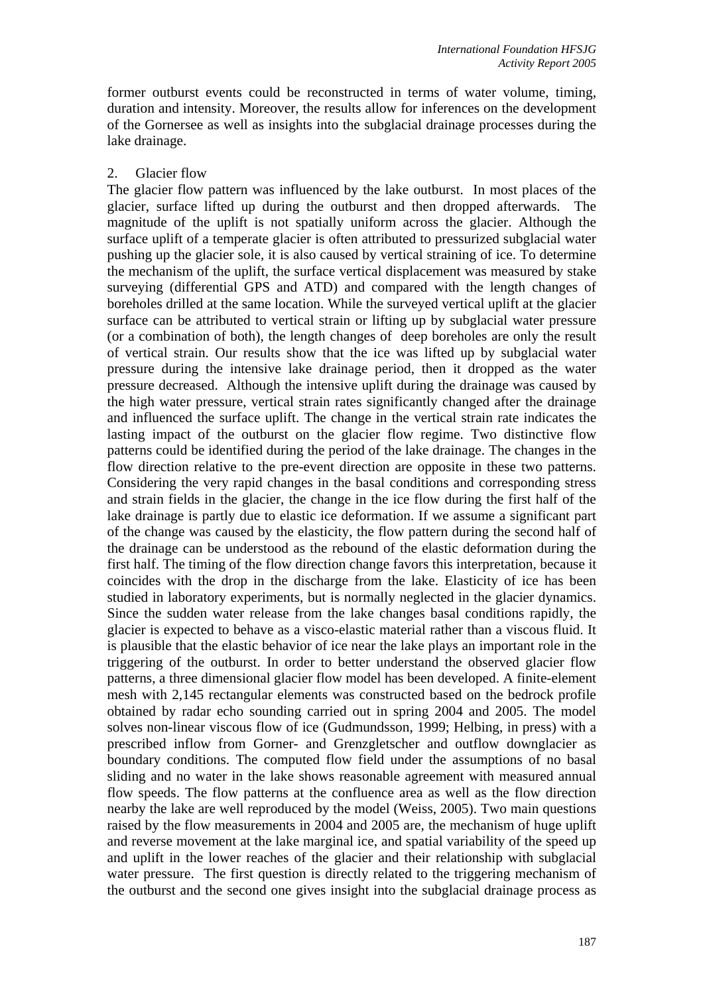former outburst events could be reconstructed in terms of water volume, timing, duration and intensity. Moreover, the results allow for inferences on the development of the Gornersee as well as insights into the subglacial drainage processes during the lake drainage.

## 2. Glacier flow

The glacier flow pattern was influenced by the lake outburst. In most places of the glacier, surface lifted up during the outburst and then dropped afterwards. The magnitude of the uplift is not spatially uniform across the glacier. Although the surface uplift of a temperate glacier is often attributed to pressurized subglacial water pushing up the glacier sole, it is also caused by vertical straining of ice. To determine the mechanism of the uplift, the surface vertical displacement was measured by stake surveying (differential GPS and ATD) and compared with the length changes of boreholes drilled at the same location. While the surveyed vertical uplift at the glacier surface can be attributed to vertical strain or lifting up by subglacial water pressure (or a combination of both), the length changes of deep boreholes are only the result of vertical strain. Our results show that the ice was lifted up by subglacial water pressure during the intensive lake drainage period, then it dropped as the water pressure decreased. Although the intensive uplift during the drainage was caused by the high water pressure, vertical strain rates significantly changed after the drainage and influenced the surface uplift. The change in the vertical strain rate indicates the lasting impact of the outburst on the glacier flow regime. Two distinctive flow patterns could be identified during the period of the lake drainage. The changes in the flow direction relative to the pre-event direction are opposite in these two patterns. Considering the very rapid changes in the basal conditions and corresponding stress and strain fields in the glacier, the change in the ice flow during the first half of the lake drainage is partly due to elastic ice deformation. If we assume a significant part of the change was caused by the elasticity, the flow pattern during the second half of the drainage can be understood as the rebound of the elastic deformation during the first half. The timing of the flow direction change favors this interpretation, because it coincides with the drop in the discharge from the lake. Elasticity of ice has been studied in laboratory experiments, but is normally neglected in the glacier dynamics. Since the sudden water release from the lake changes basal conditions rapidly, the glacier is expected to behave as a visco-elastic material rather than a viscous fluid. It is plausible that the elastic behavior of ice near the lake plays an important role in the triggering of the outburst. In order to better understand the observed glacier flow patterns, a three dimensional glacier flow model has been developed. A finite-element mesh with 2,145 rectangular elements was constructed based on the bedrock profile obtained by radar echo sounding carried out in spring 2004 and 2005. The model solves non-linear viscous flow of ice (Gudmundsson, 1999; Helbing, in press) with a prescribed inflow from Gorner- and Grenzgletscher and outflow downglacier as boundary conditions. The computed flow field under the assumptions of no basal sliding and no water in the lake shows reasonable agreement with measured annual flow speeds. The flow patterns at the confluence area as well as the flow direction nearby the lake are well reproduced by the model (Weiss, 2005). Two main questions raised by the flow measurements in 2004 and 2005 are, the mechanism of huge uplift and reverse movement at the lake marginal ice, and spatial variability of the speed up and uplift in the lower reaches of the glacier and their relationship with subglacial water pressure. The first question is directly related to the triggering mechanism of the outburst and the second one gives insight into the subglacial drainage process as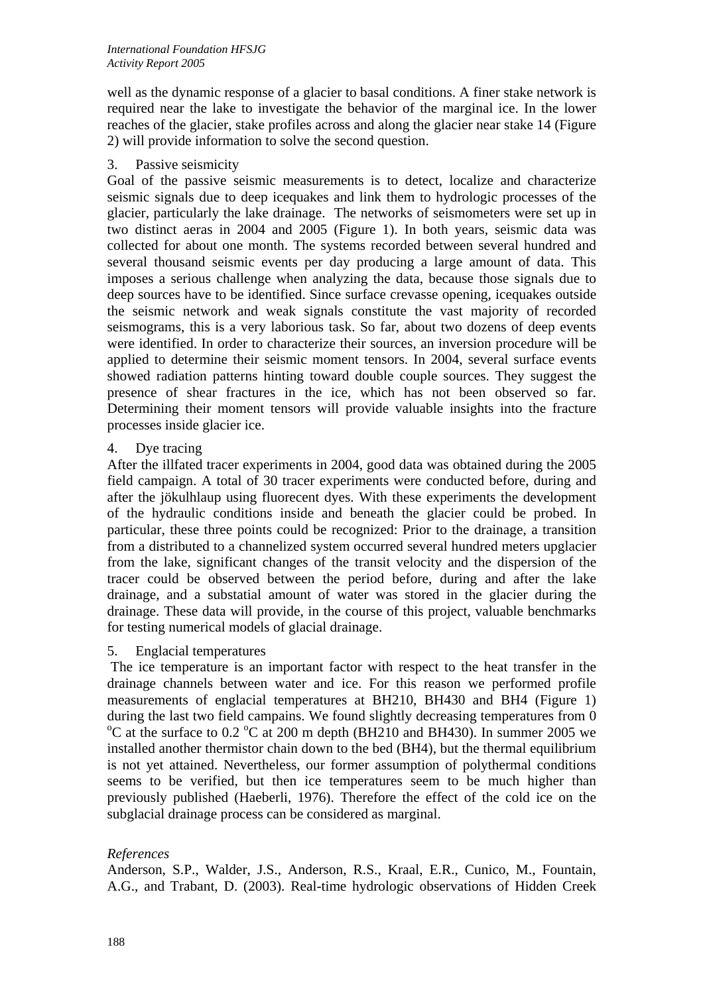well as the dynamic response of a glacier to basal conditions. A finer stake network is required near the lake to investigate the behavior of the marginal ice. In the lower reaches of the glacier, stake profiles across and along the glacier near stake 14 (Figure 2) will provide information to solve the second question.

3. Passive seismicity

Goal of the passive seismic measurements is to detect, localize and characterize seismic signals due to deep icequakes and link them to hydrologic processes of the glacier, particularly the lake drainage. The networks of seismometers were set up in two distinct aeras in 2004 and 2005 (Figure 1). In both years, seismic data was collected for about one month. The systems recorded between several hundred and several thousand seismic events per day producing a large amount of data. This imposes a serious challenge when analyzing the data, because those signals due to deep sources have to be identified. Since surface crevasse opening, icequakes outside the seismic network and weak signals constitute the vast majority of recorded seismograms, this is a very laborious task. So far, about two dozens of deep events were identified. In order to characterize their sources, an inversion procedure will be applied to determine their seismic moment tensors. In 2004, several surface events showed radiation patterns hinting toward double couple sources. They suggest the presence of shear fractures in the ice, which has not been observed so far. Determining their moment tensors will provide valuable insights into the fracture processes inside glacier ice.

4. Dye tracing

After the illfated tracer experiments in 2004, good data was obtained during the 2005 field campaign. A total of 30 tracer experiments were conducted before, during and after the jökulhlaup using fluorecent dyes. With these experiments the development of the hydraulic conditions inside and beneath the glacier could be probed. In particular, these three points could be recognized: Prior to the drainage, a transition from a distributed to a channelized system occurred several hundred meters upglacier from the lake, significant changes of the transit velocity and the dispersion of the tracer could be observed between the period before, during and after the lake drainage, and a substatial amount of water was stored in the glacier during the drainage. These data will provide, in the course of this project, valuable benchmarks for testing numerical models of glacial drainage.

5. Englacial temperatures

 The ice temperature is an important factor with respect to the heat transfer in the drainage channels between water and ice. For this reason we performed profile measurements of englacial temperatures at BH210, BH430 and BH4 (Figure 1) during the last two field campains. We found slightly decreasing temperatures from  $0$ C at the surface to  $0.2$  °C at 200 m depth (BH210 and BH430). In summer 2005 we installed another thermistor chain down to the bed (BH4), but the thermal equilibrium is not yet attained. Nevertheless, our former assumption of polythermal conditions seems to be verified, but then ice temperatures seem to be much higher than previously published (Haeberli, 1976). Therefore the effect of the cold ice on the subglacial drainage process can be considered as marginal.

## *References*

Anderson, S.P., Walder, J.S., Anderson, R.S., Kraal, E.R., Cunico, M., Fountain, A.G., and Trabant, D. (2003). Real-time hydrologic observations of Hidden Creek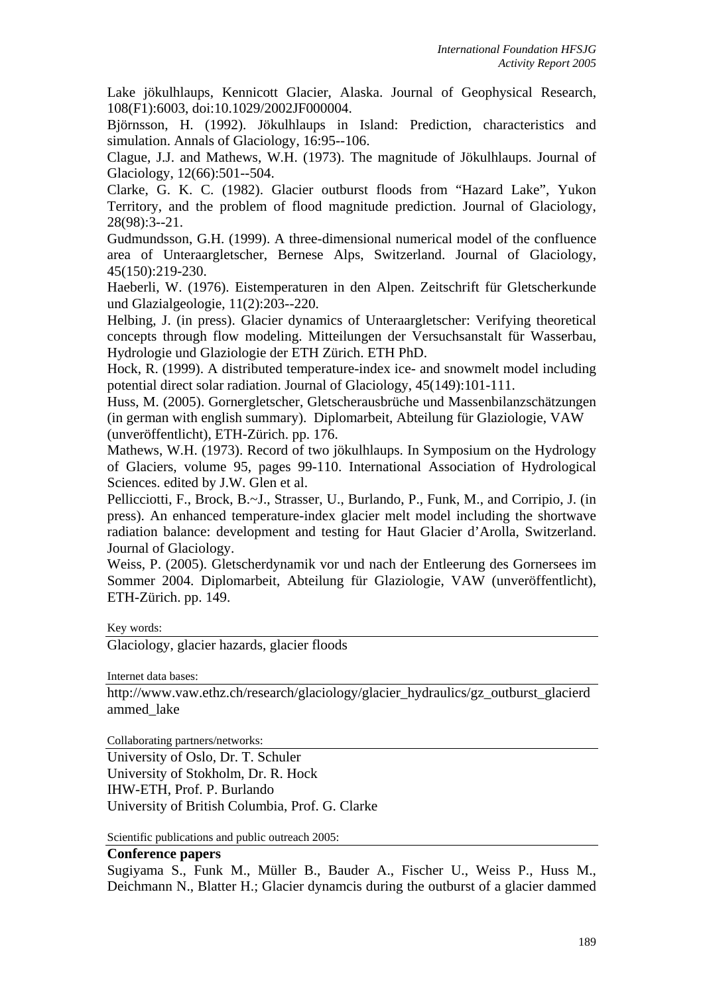Lake jökulhlaups, Kennicott Glacier, Alaska. Journal of Geophysical Research, 108(F1):6003, doi:10.1029/2002JF000004.

Björnsson, H. (1992). Jökulhlaups in Island: Prediction, characteristics and simulation. Annals of Glaciology, 16:95--106.

Clague, J.J. and Mathews, W.H. (1973). The magnitude of Jökulhlaups. Journal of Glaciology, 12(66):501--504.

Clarke, G. K. C. (1982). Glacier outburst floods from "Hazard Lake", Yukon Territory, and the problem of flood magnitude prediction. Journal of Glaciology, 28(98):3--21.

Gudmundsson, G.H. (1999). A three-dimensional numerical model of the confluence area of Unteraargletscher, Bernese Alps, Switzerland. Journal of Glaciology, 45(150):219-230.

Haeberli, W. (1976). Eistemperaturen in den Alpen. Zeitschrift für Gletscherkunde und Glazialgeologie, 11(2):203--220.

Helbing, J. (in press). Glacier dynamics of Unteraargletscher: Verifying theoretical concepts through flow modeling. Mitteilungen der Versuchsanstalt für Wasserbau, Hydrologie und Glaziologie der ETH Zürich. ETH PhD.

Hock, R. (1999). A distributed temperature-index ice- and snowmelt model including potential direct solar radiation. Journal of Glaciology, 45(149):101-111.

Huss, M. (2005). Gornergletscher, Gletscherausbrüche und Massenbilanzschätzungen (in german with english summary). Diplomarbeit, Abteilung für Glaziologie, VAW (unveröffentlicht), ETH-Zürich. pp. 176.

Mathews, W.H. (1973). Record of two jökulhlaups. In Symposium on the Hydrology of Glaciers, volume 95, pages 99-110. International Association of Hydrological Sciences. edited by J.W. Glen et al.

Pellicciotti, F., Brock, B.~J., Strasser, U., Burlando, P., Funk, M., and Corripio, J. (in press). An enhanced temperature-index glacier melt model including the shortwave radiation balance: development and testing for Haut Glacier d'Arolla, Switzerland. Journal of Glaciology.

Weiss, P. (2005). Gletscherdynamik vor und nach der Entleerung des Gornersees im Sommer 2004. Diplomarbeit, Abteilung für Glaziologie, VAW (unveröffentlicht), ETH-Zürich. pp. 149.

Key words:

Glaciology, glacier hazards, glacier floods

Internet data bases:

http://www.vaw.ethz.ch/research/glaciology/glacier\_hydraulics/gz\_outburst\_glacierd ammed\_lake

Collaborating partners/networks:

University of Oslo, Dr. T. Schuler University of Stokholm, Dr. R. Hock IHW-ETH, Prof. P. Burlando University of British Columbia, Prof. G. Clarke

Scientific publications and public outreach 2005:

### **Conference papers**

Sugiyama S., Funk M., Müller B., Bauder A., Fischer U., Weiss P., Huss M., Deichmann N., Blatter H.; Glacier dynamcis during the outburst of a glacier dammed